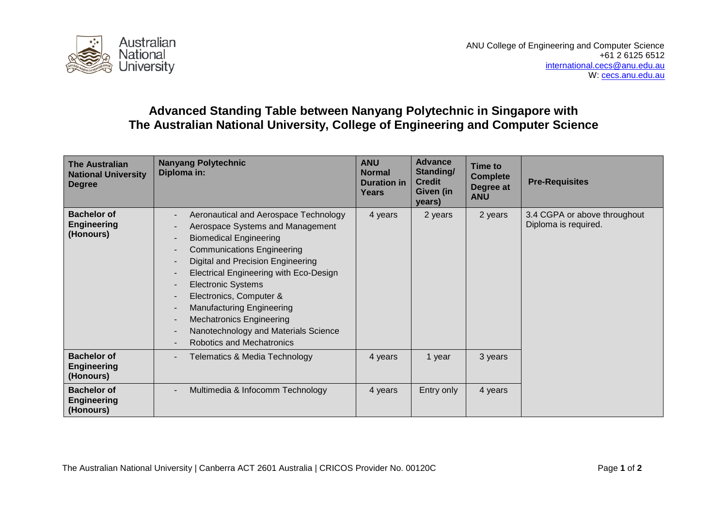

## **Advanced Standing Table between Nanyang Polytechnic in Singapore with The Australian National University, College of Engineering and Computer Science**

| <b>The Australian</b><br><b>National University</b><br><b>Degree</b> | <b>Nanyang Polytechnic</b><br>Diploma in:                                                                                                                                                                                                                                                                                                                                                                                                 | <b>ANU</b><br><b>Normal</b><br><b>Duration in</b><br>Years | <b>Advance</b><br>Standing/<br><b>Credit</b><br>Given (in<br>years) | Time to<br><b>Complete</b><br>Degree at<br><b>ANU</b> | <b>Pre-Requisites</b>                                |
|----------------------------------------------------------------------|-------------------------------------------------------------------------------------------------------------------------------------------------------------------------------------------------------------------------------------------------------------------------------------------------------------------------------------------------------------------------------------------------------------------------------------------|------------------------------------------------------------|---------------------------------------------------------------------|-------------------------------------------------------|------------------------------------------------------|
| <b>Bachelor of</b><br><b>Engineering</b><br>(Honours)                | Aeronautical and Aerospace Technology<br>Aerospace Systems and Management<br><b>Biomedical Engineering</b><br><b>Communications Engineering</b><br>Digital and Precision Engineering<br><b>Electrical Engineering with Eco-Design</b><br><b>Electronic Systems</b><br>Electronics, Computer &<br><b>Manufacturing Engineering</b><br><b>Mechatronics Engineering</b><br>Nanotechnology and Materials Science<br>Robotics and Mechatronics | 4 years                                                    | 2 years                                                             | 2 years                                               | 3.4 CGPA or above throughout<br>Diploma is required. |
| <b>Bachelor of</b><br><b>Engineering</b><br>(Honours)                | <b>Telematics &amp; Media Technology</b>                                                                                                                                                                                                                                                                                                                                                                                                  | 4 years                                                    | 1 year                                                              | 3 years                                               |                                                      |
| <b>Bachelor of</b><br><b>Engineering</b><br>(Honours)                | Multimedia & Infocomm Technology                                                                                                                                                                                                                                                                                                                                                                                                          | 4 years                                                    | Entry only                                                          | 4 years                                               |                                                      |